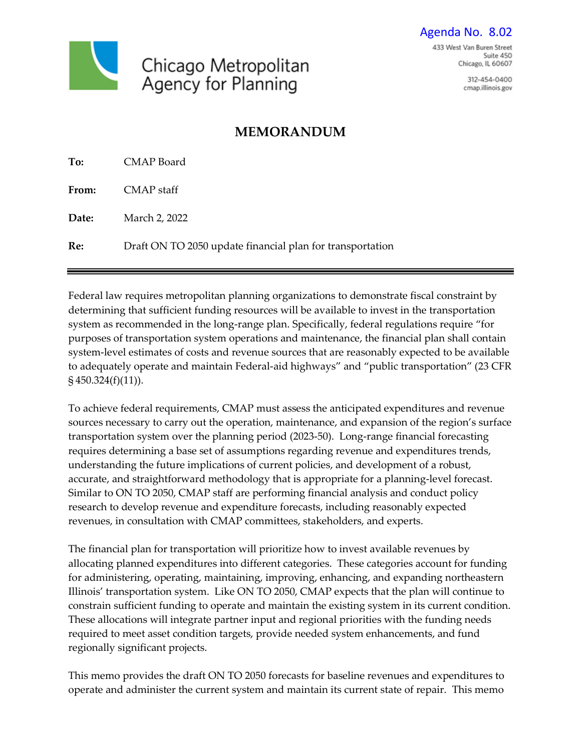Chicago Metropolitan Agency for Planning

312-454-0400 cmap.illinois.gov

# **MEMORANDUM**

| To:          | CMAP Board                                                |
|--------------|-----------------------------------------------------------|
| <b>From:</b> | CMAP staff                                                |
| Date:        | March 2, 2022                                             |
| Re:          | Draft ON TO 2050 update financial plan for transportation |

Federal law requires metropolitan planning organizations to demonstrate fiscal constraint by determining that sufficient funding resources will be available to invest in the transportation system as recommended in the long-range plan. Specifically, federal regulations require "for purposes of transportation system operations and maintenance, the financial plan shall contain system-level estimates of costs and revenue sources that are reasonably expected to be available to adequately operate and maintain Federal-aid highways" and "public transportation" (23 CFR § 450.324(f)(11)).

To achieve federal requirements, CMAP must assess the anticipated expenditures and revenue sources necessary to carry out the operation, maintenance, and expansion of the region's surface transportation system over the planning period (2023-50). Long-range financial forecasting requires determining a base set of assumptions regarding revenue and expenditures trends, understanding the future implications of current policies, and development of a robust, accurate, and straightforward methodology that is appropriate for a planning-level forecast. Similar to ON TO 2050, CMAP staff are performing financial analysis and conduct policy research to develop revenue and expenditure forecasts, including reasonably expected revenues, in consultation with CMAP committees, stakeholders, and experts.

The financial plan for transportation will prioritize how to invest available revenues by allocating planned expenditures into different categories. These categories account for funding for administering, operating, maintaining, improving, enhancing, and expanding northeastern Illinois' transportation system. Like ON TO 2050, CMAP expects that the plan will continue to constrain sufficient funding to operate and maintain the existing system in its current condition. These allocations will integrate partner input and regional priorities with the funding needs required to meet asset condition targets, provide needed system enhancements, and fund regionally significant projects.

This memo provides the draft ON TO 2050 forecasts for baseline revenues and expenditures to operate and administer the current system and maintain its current state of repair. This memo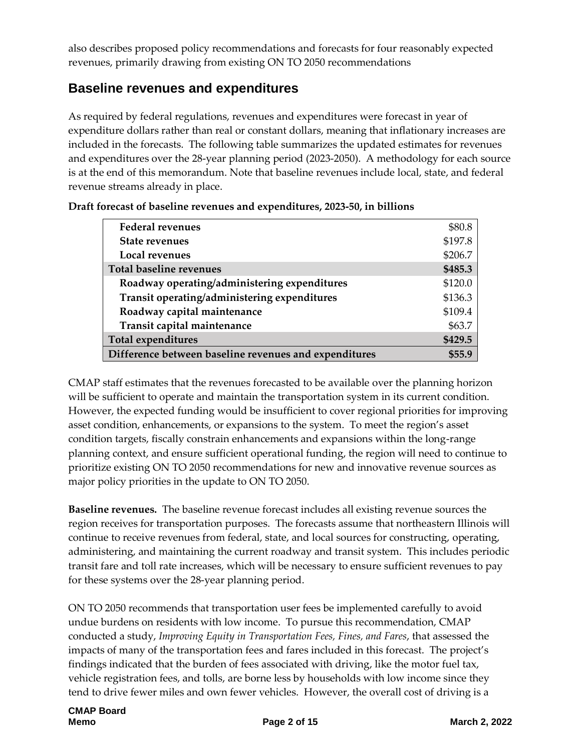also describes proposed policy recommendations and forecasts for four reasonably expected revenues, primarily drawing from existing ON TO 2050 recommendations

## **Baseline revenues and expenditures**

As required by federal regulations, revenues and expenditures were forecast in year of expenditure dollars rather than real or constant dollars, meaning that inflationary increases are included in the forecasts. The following table summarizes the updated estimates for revenues and expenditures over the 28-year planning period (2023-2050). A methodology for each source is at the end of this memorandum. Note that baseline revenues include local, state, and federal revenue streams already in place.

| <b>Federal revenues</b>                               | \$80.8  |
|-------------------------------------------------------|---------|
| <b>State revenues</b>                                 | \$197.8 |
| Local revenues                                        | \$206.7 |
| <b>Total baseline revenues</b>                        | \$485.3 |
| Roadway operating/administering expenditures          | \$120.0 |
| Transit operating/administering expenditures          | \$136.3 |
| Roadway capital maintenance                           | \$109.4 |
| Transit capital maintenance                           | \$63.7  |
| <b>Total expenditures</b>                             | \$429.5 |
| Difference between baseline revenues and expenditures | \$55.9  |

| Draft forecast of baseline revenues and expenditures, 2023-50, in billions |  |
|----------------------------------------------------------------------------|--|
|----------------------------------------------------------------------------|--|

CMAP staff estimates that the revenues forecasted to be available over the planning horizon will be sufficient to operate and maintain the transportation system in its current condition. However, the expected funding would be insufficient to cover regional priorities for improving asset condition, enhancements, or expansions to the system. To meet the region's asset condition targets, fiscally constrain enhancements and expansions within the long-range planning context, and ensure sufficient operational funding, the region will need to continue to prioritize existing ON TO 2050 recommendations for new and innovative revenue sources as major policy priorities in the update to ON TO 2050.

**Baseline revenues.** The baseline revenue forecast includes all existing revenue sources the region receives for transportation purposes. The forecasts assume that northeastern Illinois will continue to receive revenues from federal, state, and local sources for constructing, operating, administering, and maintaining the current roadway and transit system. This includes periodic transit fare and toll rate increases, which will be necessary to ensure sufficient revenues to pay for these systems over the 28-year planning period.

ON TO 2050 recommends that transportation user fees be implemented carefully to avoid undue burdens on residents with low income. To pursue this recommendation, CMAP conducted a study, *Improving Equity in Transportation Fees, Fines, and Fares*, that assessed the impacts of many of the transportation fees and fares included in this forecast. The project's findings indicated that the burden of fees associated with driving, like the motor fuel tax, vehicle registration fees, and tolls, are borne less by households with low income since they tend to drive fewer miles and own fewer vehicles. However, the overall cost of driving is a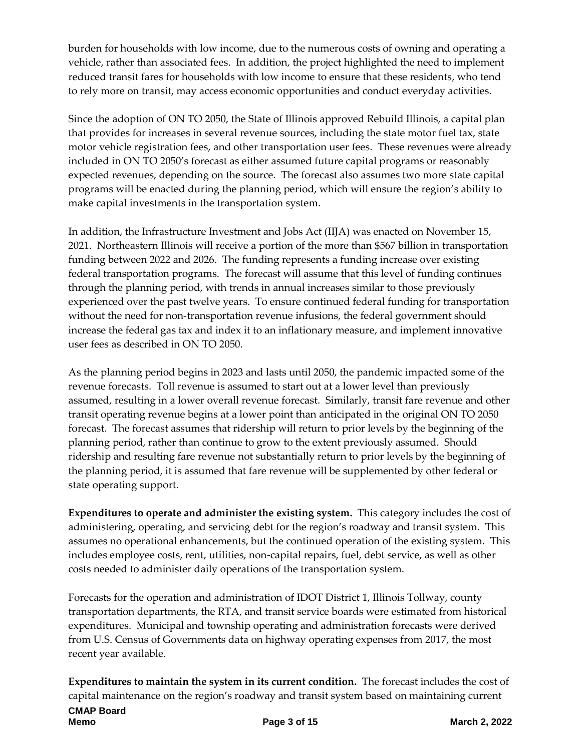burden for households with low income, due to the numerous costs of owning and operating a vehicle, rather than associated fees. In addition, the project highlighted the need to implement reduced transit fares for households with low income to ensure that these residents, who tend to rely more on transit, may access economic opportunities and conduct everyday activities.

Since the adoption of ON TO 2050, the State of Illinois approved Rebuild Illinois, a capital plan that provides for increases in several revenue sources, including the state motor fuel tax, state motor vehicle registration fees, and other transportation user fees. These revenues were already included in ON TO 2050's forecast as either assumed future capital programs or reasonably expected revenues, depending on the source. The forecast also assumes two more state capital programs will be enacted during the planning period, which will ensure the region's ability to make capital investments in the transportation system.

In addition, the Infrastructure Investment and Jobs Act (IIJA) was enacted on November 15, 2021. Northeastern Illinois will receive a portion of the more than \$567 billion in transportation funding between 2022 and 2026. The funding represents a funding increase over existing federal transportation programs. The forecast will assume that this level of funding continues through the planning period, with trends in annual increases similar to those previously experienced over the past twelve years. To ensure continued federal funding for transportation without the need for non-transportation revenue infusions, the federal government should increase the federal gas tax and index it to an inflationary measure, and implement innovative user fees as described in ON TO 2050.

As the planning period begins in 2023 and lasts until 2050, the pandemic impacted some of the revenue forecasts. Toll revenue is assumed to start out at a lower level than previously assumed, resulting in a lower overall revenue forecast. Similarly, transit fare revenue and other transit operating revenue begins at a lower point than anticipated in the original ON TO 2050 forecast. The forecast assumes that ridership will return to prior levels by the beginning of the planning period, rather than continue to grow to the extent previously assumed. Should ridership and resulting fare revenue not substantially return to prior levels by the beginning of the planning period, it is assumed that fare revenue will be supplemented by other federal or state operating support.

**Expenditures to operate and administer the existing system.** This category includes the cost of administering, operating, and servicing debt for the region's roadway and transit system. This assumes no operational enhancements, but the continued operation of the existing system. This includes employee costs, rent, utilities, non-capital repairs, fuel, debt service, as well as other costs needed to administer daily operations of the transportation system.

Forecasts for the operation and administration of IDOT District 1, Illinois Tollway, county transportation departments, the RTA, and transit service boards were estimated from historical expenditures. Municipal and township operating and administration forecasts were derived from U.S. Census of Governments data on highway operating expenses from 2017, the most recent year available.

**Expenditures to maintain the system in its current condition.** The forecast includes the cost of capital maintenance on the region's roadway and transit system based on maintaining current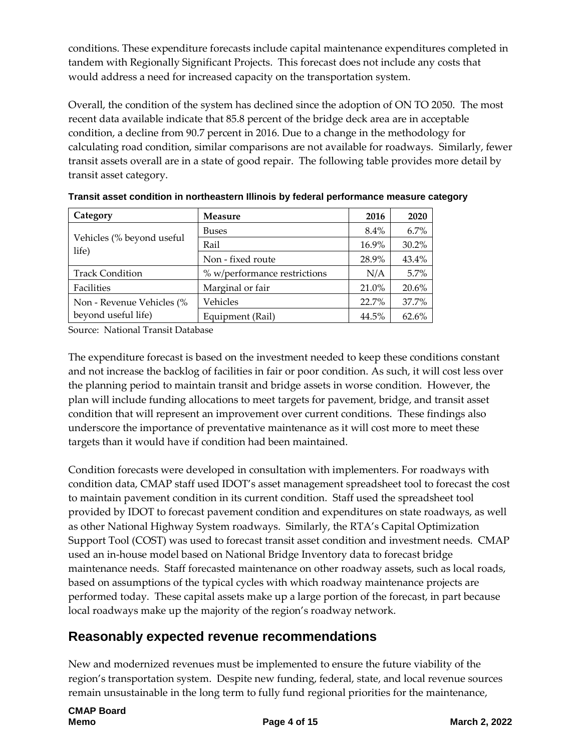conditions. These expenditure forecasts include capital maintenance expenditures completed in tandem with Regionally Significant Projects. This forecast does not include any costs that would address a need for increased capacity on the transportation system.

Overall, the condition of the system has declined since the adoption of ON TO 2050. The most recent data available indicate that 85.8 percent of the bridge deck area are in acceptable condition, a decline from 90.7 percent in 2016. Due to a change in the methodology for calculating road condition, similar comparisons are not available for roadways. Similarly, fewer transit assets overall are in a state of good repair. The following table provides more detail by transit asset category.

| Category<br><b>Measure</b>         |                              | 2016    | 2020  |
|------------------------------------|------------------------------|---------|-------|
|                                    | <b>Buses</b>                 | $8.4\%$ | 6.7%  |
| Vehicles (% beyond useful<br>life) | Rail                         | 16.9%   | 30.2% |
|                                    | Non - fixed route            | 28.9%   | 43.4% |
| <b>Track Condition</b>             | % w/performance restrictions | N/A     | 5.7%  |
| Facilities                         | Marginal or fair             | 21.0%   | 20.6% |
| Non - Revenue Vehicles (%          | Vehicles                     | 22.7%   | 37.7% |
| beyond useful life)                | Equipment (Rail)             | 44.5%   | 62.6% |

**Transit asset condition in northeastern Illinois by federal performance measure category**

Source: National Transit Database

The expenditure forecast is based on the investment needed to keep these conditions constant and not increase the backlog of facilities in fair or poor condition. As such, it will cost less over the planning period to maintain transit and bridge assets in worse condition. However, the plan will include funding allocations to meet targets for pavement, bridge, and transit asset condition that will represent an improvement over current conditions. These findings also underscore the importance of preventative maintenance as it will cost more to meet these targets than it would have if condition had been maintained.

Condition forecasts were developed in consultation with implementers. For roadways with condition data, CMAP staff used IDOT's asset management spreadsheet tool to forecast the cost to maintain pavement condition in its current condition. Staff used the spreadsheet tool provided by IDOT to forecast pavement condition and expenditures on state roadways, as well as other National Highway System roadways. Similarly, the RTA's Capital Optimization Support Tool (COST) was used to forecast transit asset condition and investment needs. CMAP used an in-house model based on National Bridge Inventory data to forecast bridge maintenance needs. Staff forecasted maintenance on other roadway assets, such as local roads, based on assumptions of the typical cycles with which roadway maintenance projects are performed today. These capital assets make up a large portion of the forecast, in part because local roadways make up the majority of the region's roadway network.

# **Reasonably expected revenue recommendations**

New and modernized revenues must be implemented to ensure the future viability of the region's transportation system. Despite new funding, federal, state, and local revenue sources remain unsustainable in the long term to fully fund regional priorities for the maintenance,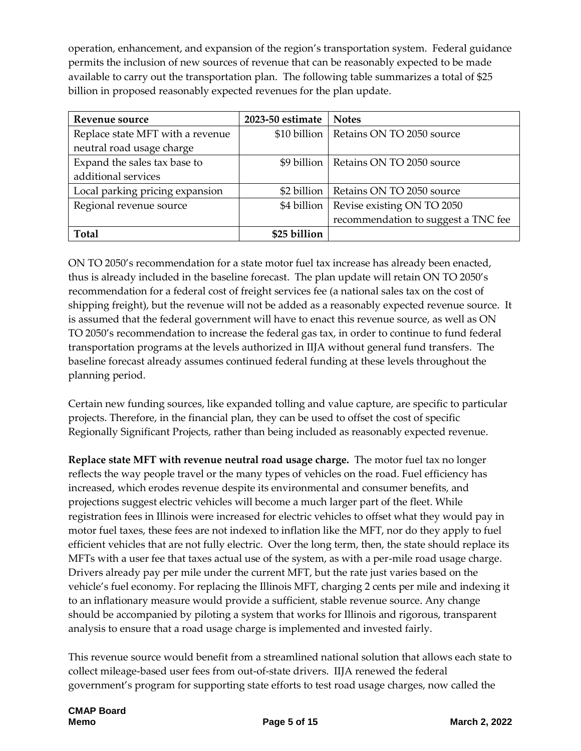operation, enhancement, and expansion of the region's transportation system. Federal guidance permits the inclusion of new sources of revenue that can be reasonably expected to be made available to carry out the transportation plan. The following table summarizes a total of \$25 billion in proposed reasonably expected revenues for the plan update.

| Revenue source                   | 2023-50 estimate | <b>Notes</b>                        |
|----------------------------------|------------------|-------------------------------------|
| Replace state MFT with a revenue | \$10 billion     | Retains ON TO 2050 source           |
| neutral road usage charge        |                  |                                     |
| Expand the sales tax base to     | \$9 billion      | Retains ON TO 2050 source           |
| additional services              |                  |                                     |
| Local parking pricing expansion  | \$2 billion      | Retains ON TO 2050 source           |
| Regional revenue source          | \$4 billion      | Revise existing ON TO 2050          |
|                                  |                  | recommendation to suggest a TNC fee |
| <b>Total</b>                     | \$25 billion     |                                     |

ON TO 2050's recommendation for a state motor fuel tax increase has already been enacted, thus is already included in the baseline forecast. The plan update will retain ON TO 2050's recommendation for a federal cost of freight services fee (a national sales tax on the cost of shipping freight), but the revenue will not be added as a reasonably expected revenue source. It is assumed that the federal government will have to enact this revenue source, as well as ON TO 2050's recommendation to increase the federal gas tax, in order to continue to fund federal transportation programs at the levels authorized in IIJA without general fund transfers. The baseline forecast already assumes continued federal funding at these levels throughout the planning period.

Certain new funding sources, like expanded tolling and value capture, are specific to particular projects. Therefore, in the financial plan, they can be used to offset the cost of specific Regionally Significant Projects, rather than being included as reasonably expected revenue.

**Replace state MFT with revenue neutral road usage charge.** The motor fuel tax no longer reflects the way people travel or the many types of vehicles on the road. Fuel efficiency has increased, which erodes revenue despite its environmental and consumer benefits, and projections suggest electric vehicles will become a much larger part of the fleet. While registration fees in Illinois were increased for electric vehicles to offset what they would pay in motor fuel taxes, these fees are not indexed to inflation like the MFT, nor do they apply to fuel efficient vehicles that are not fully electric. Over the long term, then, the state should replace its MFTs with a user fee that taxes actual use of the system, as with a per-mile road usage charge. Drivers already pay per mile under the current MFT, but the rate just varies based on the vehicle's fuel economy. For replacing the Illinois MFT, charging 2 cents per mile and indexing it to an inflationary measure would provide a sufficient, stable revenue source. Any change should be accompanied by piloting a system that works for Illinois and rigorous, transparent analysis to ensure that a road usage charge is implemented and invested fairly.

This revenue source would benefit from a streamlined national solution that allows each state to collect mileage-based user fees from out-of-state drivers. IIJA renewed the federal government's program for supporting state efforts to test road usage charges, now called the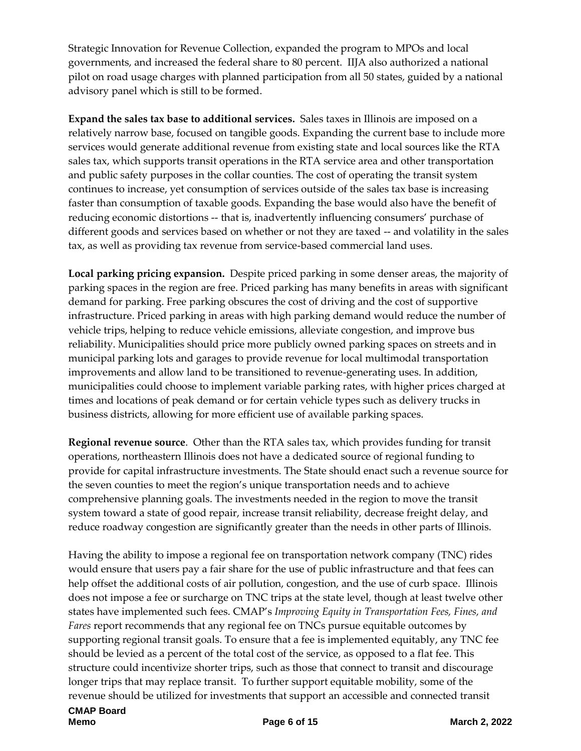Strategic Innovation for Revenue Collection, expanded the program to MPOs and local governments, and increased the federal share to 80 percent. IIJA also authorized a national pilot on road usage charges with planned participation from all 50 states, guided by a national advisory panel which is still to be formed.

**Expand the sales tax base to additional services.** Sales taxes in Illinois are imposed on a relatively narrow base, focused on tangible goods. Expanding the current base to include more services would generate additional revenue from existing state and local sources like the RTA sales tax, which supports transit operations in the RTA service area and other transportation and public safety purposes in the collar counties. The cost of operating the transit system continues to increase, yet consumption of services outside of the sales tax base is increasing faster than consumption of taxable goods. Expanding the base would also have the benefit of reducing economic distortions -- that is, inadvertently influencing consumers' purchase of different goods and services based on whether or not they are taxed -- and volatility in the sales tax, as well as providing tax revenue from service-based commercial land uses.

**Local parking pricing expansion.** Despite priced parking in some denser areas, the majority of parking spaces in the region are free. Priced parking has many benefits in areas with significant demand for parking. Free parking obscures the cost of driving and the cost of supportive infrastructure. Priced parking in areas with high parking demand would reduce the number of vehicle trips, helping to reduce vehicle emissions, alleviate congestion, and improve bus reliability. Municipalities should price more publicly owned parking spaces on streets and in municipal parking lots and garages to provide revenue for local multimodal transportation improvements and allow land to be transitioned to revenue-generating uses. In addition, municipalities could choose to implement variable parking rates, with higher prices charged at times and locations of peak demand or for certain vehicle types such as delivery trucks in business districts, allowing for more efficient use of available parking spaces.

**Regional revenue source**. Other than the RTA sales tax, which provides funding for transit operations, northeastern Illinois does not have a dedicated source of regional funding to provide for capital infrastructure investments. The State should enact such a revenue source for the seven counties to meet the region's unique transportation needs and to achieve comprehensive planning goals. The investments needed in the region to move the transit system toward a state of good repair, increase transit reliability, decrease freight delay, and reduce roadway congestion are significantly greater than the needs in other parts of Illinois.

Having the ability to impose a regional fee on transportation network company (TNC) rides would ensure that users pay a fair share for the use of public infrastructure and that fees can help offset the additional costs of air pollution, congestion, and the use of curb space. Illinois does not impose a fee or surcharge on TNC trips at the state level, though at least twelve other states have implemented such fees. CMAP's *Improving Equity in Transportation Fees, Fines, and Fares* report recommends that any regional fee on TNCs pursue equitable outcomes by supporting regional transit goals. To ensure that a fee is implemented equitably, any TNC fee should be levied as a percent of the total cost of the service, as opposed to a flat fee. This structure could incentivize shorter trips, such as those that connect to transit and discourage longer trips that may replace transit. To further support equitable mobility, some of the revenue should be utilized for investments that support an accessible and connected transit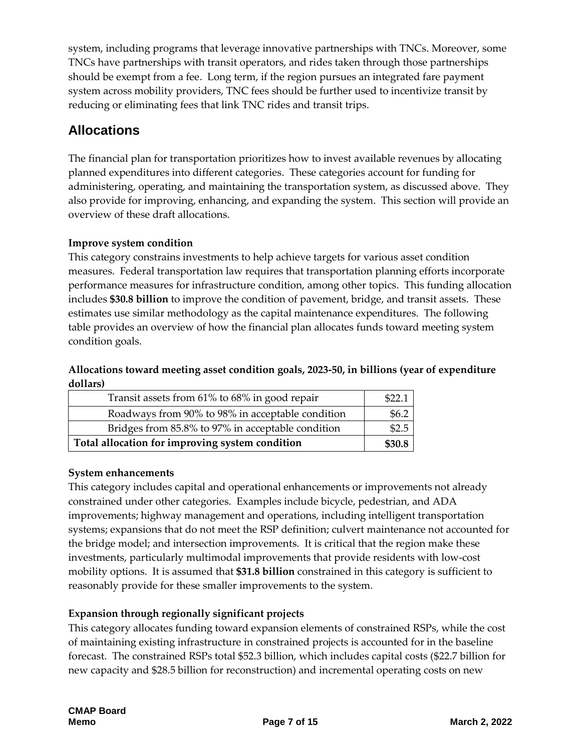system, including programs that leverage innovative partnerships with TNCs. Moreover, some TNCs have partnerships with transit operators, and rides taken through those partnerships should be exempt from a fee. Long term, if the region pursues an integrated fare payment system across mobility providers, TNC fees should be further used to incentivize transit by reducing or eliminating fees that link TNC rides and transit trips.

# **Allocations**

The financial plan for transportation prioritizes how to invest available revenues by allocating planned expenditures into different categories. These categories account for funding for administering, operating, and maintaining the transportation system, as discussed above. They also provide for improving, enhancing, and expanding the system. This section will provide an overview of these draft allocations.

#### **Improve system condition**

This category constrains investments to help achieve targets for various asset condition measures. Federal transportation law requires that transportation planning efforts incorporate performance measures for infrastructure condition, among other topics. This funding allocation includes **\$30.8 billion** to improve the condition of pavement, bridge, and transit assets. These estimates use similar methodology as the capital maintenance expenditures. The following table provides an overview of how the financial plan allocates funds toward meeting system condition goals.

#### **Allocations toward meeting asset condition goals, 2023-50, in billions (year of expenditure dollars)**

| Transit assets from 61% to 68% in good repair     |       |
|---------------------------------------------------|-------|
| Roadways from 90% to 98% in acceptable condition  | \$6.2 |
| Bridges from 85.8% to 97% in acceptable condition |       |
| Total allocation for improving system condition   |       |

#### **System enhancements**

This category includes capital and operational enhancements or improvements not already constrained under other categories. Examples include bicycle, pedestrian, and ADA improvements; highway management and operations, including intelligent transportation systems; expansions that do not meet the RSP definition; culvert maintenance not accounted for the bridge model; and intersection improvements. It is critical that the region make these investments, particularly multimodal improvements that provide residents with low-cost mobility options. It is assumed that **\$31.8 billion** constrained in this category is sufficient to reasonably provide for these smaller improvements to the system.

#### **Expansion through regionally significant projects**

This category allocates funding toward expansion elements of constrained RSPs, while the cost of maintaining existing infrastructure in constrained projects is accounted for in the baseline forecast. The constrained RSPs total \$52.3 billion, which includes capital costs (\$22.7 billion for new capacity and \$28.5 billion for reconstruction) and incremental operating costs on new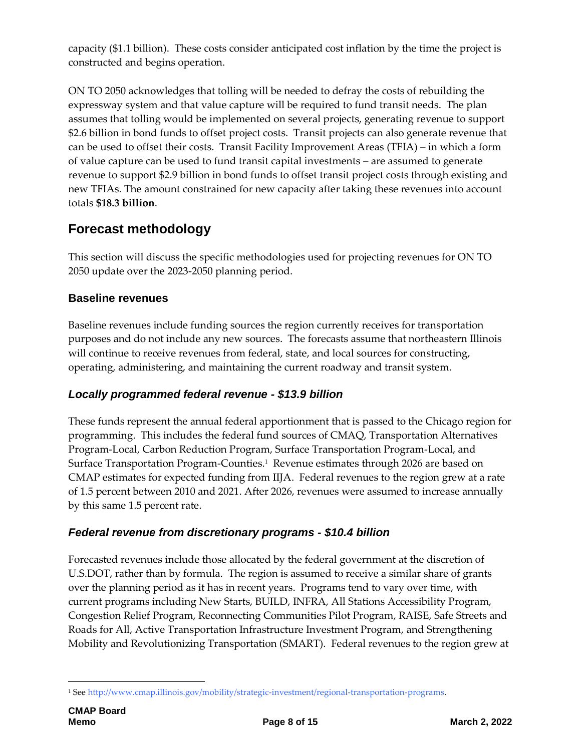capacity (\$1.1 billion). These costs consider anticipated cost inflation by the time the project is constructed and begins operation.

ON TO 2050 acknowledges that tolling will be needed to defray the costs of rebuilding the expressway system and that value capture will be required to fund transit needs. The plan assumes that tolling would be implemented on several projects, generating revenue to support \$2.6 billion in bond funds to offset project costs. Transit projects can also generate revenue that can be used to offset their costs. Transit Facility Improvement Areas (TFIA) – in which a form of value capture can be used to fund transit capital investments – are assumed to generate revenue to support \$2.9 billion in bond funds to offset transit project costs through existing and new TFIAs. The amount constrained for new capacity after taking these revenues into account totals **\$18.3 billion**.

# **Forecast methodology**

This section will discuss the specific methodologies used for projecting revenues for ON TO 2050 update over the 2023-2050 planning period.

### **Baseline revenues**

Baseline revenues include funding sources the region currently receives for transportation purposes and do not include any new sources. The forecasts assume that northeastern Illinois will continue to receive revenues from federal, state, and local sources for constructing, operating, administering, and maintaining the current roadway and transit system.

## *Locally programmed federal revenue - \$13.9 billion*

These funds represent the annual federal apportionment that is passed to the Chicago region for programming. This includes the federal fund sources of CMAQ, Transportation Alternatives Program-Local, Carbon Reduction Program, Surface Transportation Program-Local, and Surface Transportation Program-Counties.<sup>1</sup> Revenue estimates through 2026 are based on CMAP estimates for expected funding from IIJA. Federal revenues to the region grew at a rate of 1.5 percent between 2010 and 2021. After 2026, revenues were assumed to increase annually by this same 1.5 percent rate.

#### *Federal revenue from discretionary programs - \$10.4 billion*

Forecasted revenues include those allocated by the federal government at the discretion of U.S.DOT, rather than by formula. The region is assumed to receive a similar share of grants over the planning period as it has in recent years. Programs tend to vary over time, with current programs including New Starts, BUILD, INFRA, All Stations Accessibility Program, Congestion Relief Program, Reconnecting Communities Pilot Program, RAISE, Safe Streets and Roads for All, Active Transportation Infrastructure Investment Program, and Strengthening Mobility and Revolutionizing Transportation (SMART). Federal revenues to the region grew at

<sup>1</sup> <sup>1</sup> Se[e http://www.cmap.illinois.gov/mobility/strategic-investment/regional-transportation-programs.](http://www.cmap.illinois.gov/mobility/strategic-investment/regional-transportation-programs)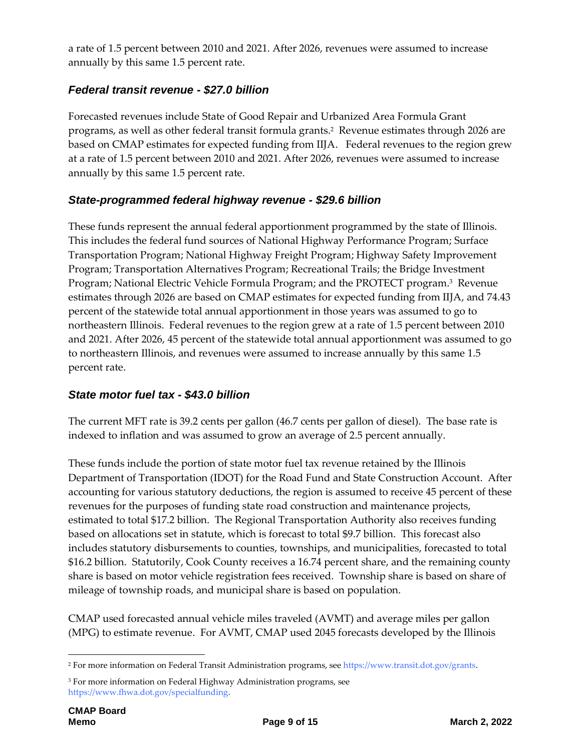a rate of 1.5 percent between 2010 and 2021. After 2026, revenues were assumed to increase annually by this same 1.5 percent rate.

## *Federal transit revenue - \$27.0 billion*

Forecasted revenues include State of Good Repair and Urbanized Area Formula Grant programs, as well as other federal transit formula grants.<sup>2</sup> Revenue estimates through 2026 are based on CMAP estimates for expected funding from IIJA. Federal revenues to the region grew at a rate of 1.5 percent between 2010 and 2021. After 2026, revenues were assumed to increase annually by this same 1.5 percent rate.

## *State-programmed federal highway revenue - \$29.6 billion*

These funds represent the annual federal apportionment programmed by the state of Illinois. This includes the federal fund sources of National Highway Performance Program; Surface Transportation Program; National Highway Freight Program; Highway Safety Improvement Program; Transportation Alternatives Program; Recreational Trails; the Bridge Investment Program; National Electric Vehicle Formula Program; and the PROTECT program. 3 Revenue estimates through 2026 are based on CMAP estimates for expected funding from IIJA, and 74.43 percent of the statewide total annual apportionment in those years was assumed to go to northeastern Illinois. Federal revenues to the region grew at a rate of 1.5 percent between 2010 and 2021. After 2026, 45 percent of the statewide total annual apportionment was assumed to go to northeastern Illinois, and revenues were assumed to increase annually by this same 1.5 percent rate.

## *State motor fuel tax - \$43.0 billion*

The current MFT rate is 39.2 cents per gallon (46.7 cents per gallon of diesel). The base rate is indexed to inflation and was assumed to grow an average of 2.5 percent annually.

These funds include the portion of state motor fuel tax revenue retained by the Illinois Department of Transportation (IDOT) for the Road Fund and State Construction Account. After accounting for various statutory deductions, the region is assumed to receive 45 percent of these revenues for the purposes of funding state road construction and maintenance projects, estimated to total \$17.2 billion. The Regional Transportation Authority also receives funding based on allocations set in statute, which is forecast to total \$9.7 billion. This forecast also includes statutory disbursements to counties, townships, and municipalities, forecasted to total \$16.2 billion. Statutorily, Cook County receives a 16.74 percent share, and the remaining county share is based on motor vehicle registration fees received. Township share is based on share of mileage of township roads, and municipal share is based on population.

CMAP used forecasted annual vehicle miles traveled (AVMT) and average miles per gallon (MPG) to estimate revenue. For AVMT, CMAP used 2045 forecasts developed by the Illinois

1

<sup>2</sup> For more information on Federal Transit Administration programs, see [https://www.transit.dot.gov/grants.](https://www.transit.dot.gov/grants) 

<sup>&</sup>lt;sup>3</sup> For more information on Federal Highway Administration programs, see [https://www.fhwa.dot.gov/specialfunding.](https://www.fhwa.dot.gov/specialfunding)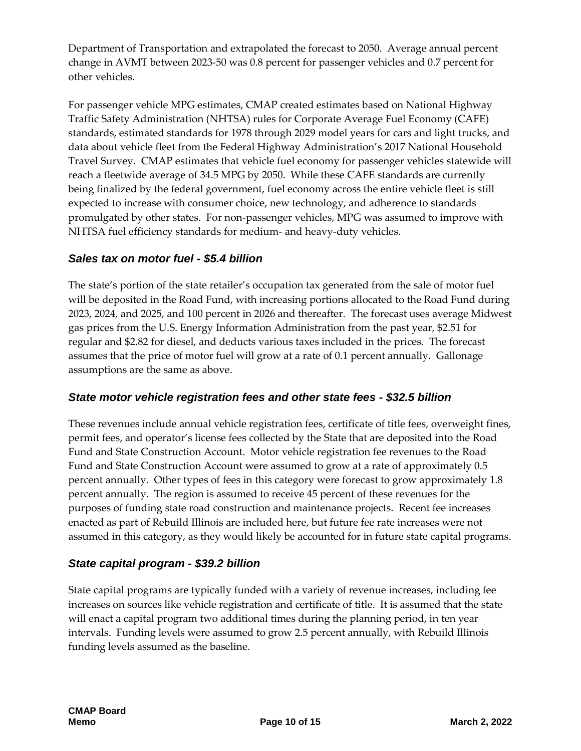Department of Transportation and extrapolated the forecast to 2050. Average annual percent change in AVMT between 2023-50 was 0.8 percent for passenger vehicles and 0.7 percent for other vehicles.

For passenger vehicle MPG estimates, CMAP created estimates based on National Highway Traffic Safety Administration (NHTSA) rules for Corporate Average Fuel Economy (CAFE) standards, estimated standards for 1978 through 2029 model years for cars and light trucks, and data about vehicle fleet from the Federal Highway Administration's 2017 National Household Travel Survey. CMAP estimates that vehicle fuel economy for passenger vehicles statewide will reach a fleetwide average of 34.5 MPG by 2050. While these CAFE standards are currently being finalized by the federal government, fuel economy across the entire vehicle fleet is still expected to increase with consumer choice, new technology, and adherence to standards promulgated by other states. For non-passenger vehicles, MPG was assumed to improve with NHTSA fuel efficiency standards for medium- and heavy-duty vehicles.

## *Sales tax on motor fuel - \$5.4 billion*

The state's portion of the state retailer's occupation tax generated from the sale of motor fuel will be deposited in the Road Fund, with increasing portions allocated to the Road Fund during 2023, 2024, and 2025, and 100 percent in 2026 and thereafter. The forecast uses average Midwest gas prices from the U.S. Energy Information Administration from the past year, \$2.51 for regular and \$2.82 for diesel, and deducts various taxes included in the prices. The forecast assumes that the price of motor fuel will grow at a rate of 0.1 percent annually. Gallonage assumptions are the same as above.

#### *State motor vehicle registration fees and other state fees - \$32.5 billion*

These revenues include annual vehicle registration fees, certificate of title fees, overweight fines, permit fees, and operator's license fees collected by the State that are deposited into the Road Fund and State Construction Account. Motor vehicle registration fee revenues to the Road Fund and State Construction Account were assumed to grow at a rate of approximately 0.5 percent annually. Other types of fees in this category were forecast to grow approximately 1.8 percent annually. The region is assumed to receive 45 percent of these revenues for the purposes of funding state road construction and maintenance projects. Recent fee increases enacted as part of Rebuild Illinois are included here, but future fee rate increases were not assumed in this category, as they would likely be accounted for in future state capital programs.

## *State capital program - \$39.2 billion*

State capital programs are typically funded with a variety of revenue increases, including fee increases on sources like vehicle registration and certificate of title. It is assumed that the state will enact a capital program two additional times during the planning period, in ten year intervals. Funding levels were assumed to grow 2.5 percent annually, with Rebuild Illinois funding levels assumed as the baseline.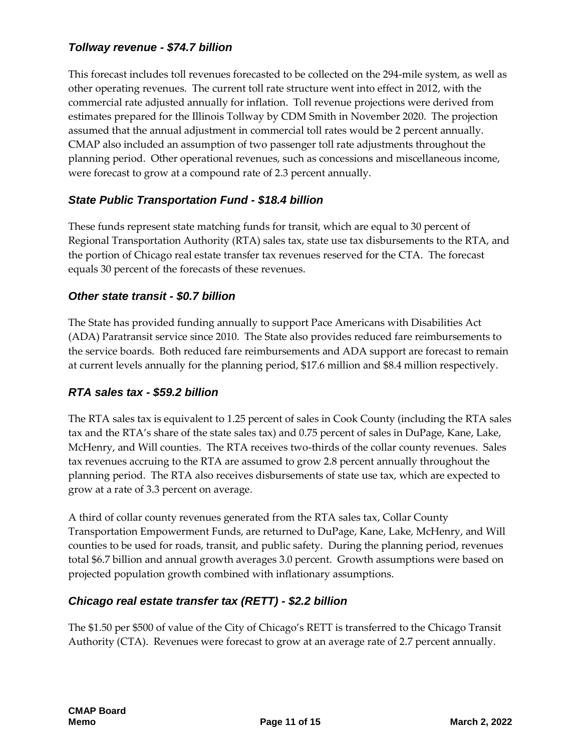### *Tollway revenue - \$74.7 billion*

This forecast includes toll revenues forecasted to be collected on the 294-mile system, as well as other operating revenues. The current toll rate structure went into effect in 2012, with the commercial rate adjusted annually for inflation. Toll revenue projections were derived from estimates prepared for the Illinois Tollway by CDM Smith in November 2020. The projection assumed that the annual adjustment in commercial toll rates would be 2 percent annually. CMAP also included an assumption of two passenger toll rate adjustments throughout the planning period. Other operational revenues, such as concessions and miscellaneous income, were forecast to grow at a compound rate of 2.3 percent annually.

### *State Public Transportation Fund - \$18.4 billion*

These funds represent state matching funds for transit, which are equal to 30 percent of Regional Transportation Authority (RTA) sales tax, state use tax disbursements to the RTA, and the portion of Chicago real estate transfer tax revenues reserved for the CTA. The forecast equals 30 percent of the forecasts of these revenues.

#### *Other state transit - \$0.7 billion*

The State has provided funding annually to support Pace Americans with Disabilities Act (ADA) Paratransit service since 2010. The State also provides reduced fare reimbursements to the service boards. Both reduced fare reimbursements and ADA support are forecast to remain at current levels annually for the planning period, \$17.6 million and \$8.4 million respectively.

#### *RTA sales tax - \$59.2 billion*

The RTA sales tax is equivalent to 1.25 percent of sales in Cook County (including the RTA sales tax and the RTA's share of the state sales tax) and 0.75 percent of sales in DuPage, Kane, Lake, McHenry, and Will counties. The RTA receives two-thirds of the collar county revenues. Sales tax revenues accruing to the RTA are assumed to grow 2.8 percent annually throughout the planning period. The RTA also receives disbursements of state use tax, which are expected to grow at a rate of 3.3 percent on average.

A third of collar county revenues generated from the RTA sales tax, Collar County Transportation Empowerment Funds, are returned to DuPage, Kane, Lake, McHenry, and Will counties to be used for roads, transit, and public safety. During the planning period, revenues total \$6.7 billion and annual growth averages 3.0 percent. Growth assumptions were based on projected population growth combined with inflationary assumptions.

#### *Chicago real estate transfer tax (RETT) - \$2.2 billion*

The \$1.50 per \$500 of value of the City of Chicago's RETT is transferred to the Chicago Transit Authority (CTA). Revenues were forecast to grow at an average rate of 2.7 percent annually.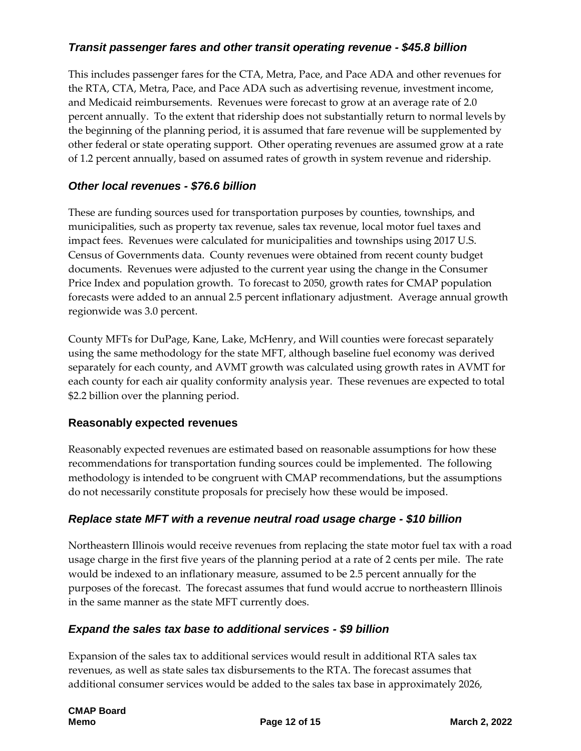## *Transit passenger fares and other transit operating revenue - \$45.8 billion*

This includes passenger fares for the CTA, Metra, Pace, and Pace ADA and other revenues for the RTA, CTA, Metra, Pace, and Pace ADA such as advertising revenue, investment income, and Medicaid reimbursements. Revenues were forecast to grow at an average rate of 2.0 percent annually. To the extent that ridership does not substantially return to normal levels by the beginning of the planning period, it is assumed that fare revenue will be supplemented by other federal or state operating support. Other operating revenues are assumed grow at a rate of 1.2 percent annually, based on assumed rates of growth in system revenue and ridership.

## *Other local revenues - \$76.6 billion*

These are funding sources used for transportation purposes by counties, townships, and municipalities, such as property tax revenue, sales tax revenue, local motor fuel taxes and impact fees. Revenues were calculated for municipalities and townships using 2017 U.S. Census of Governments data. County revenues were obtained from recent county budget documents. Revenues were adjusted to the current year using the change in the Consumer Price Index and population growth. To forecast to 2050, growth rates for CMAP population forecasts were added to an annual 2.5 percent inflationary adjustment. Average annual growth regionwide was 3.0 percent.

County MFTs for DuPage, Kane, Lake, McHenry, and Will counties were forecast separately using the same methodology for the state MFT, although baseline fuel economy was derived separately for each county, and AVMT growth was calculated using growth rates in AVMT for each county for each air quality conformity analysis year. These revenues are expected to total \$2.2 billion over the planning period.

#### **Reasonably expected revenues**

Reasonably expected revenues are estimated based on reasonable assumptions for how these recommendations for transportation funding sources could be implemented. The following methodology is intended to be congruent with CMAP recommendations, but the assumptions do not necessarily constitute proposals for precisely how these would be imposed.

## *Replace state MFT with a revenue neutral road usage charge - \$10 billion*

Northeastern Illinois would receive revenues from replacing the state motor fuel tax with a road usage charge in the first five years of the planning period at a rate of 2 cents per mile. The rate would be indexed to an inflationary measure, assumed to be 2.5 percent annually for the purposes of the forecast. The forecast assumes that fund would accrue to northeastern Illinois in the same manner as the state MFT currently does.

#### *Expand the sales tax base to additional services - \$9 billion*

Expansion of the sales tax to additional services would result in additional RTA sales tax revenues, as well as state sales tax disbursements to the RTA. The forecast assumes that additional consumer services would be added to the sales tax base in approximately 2026,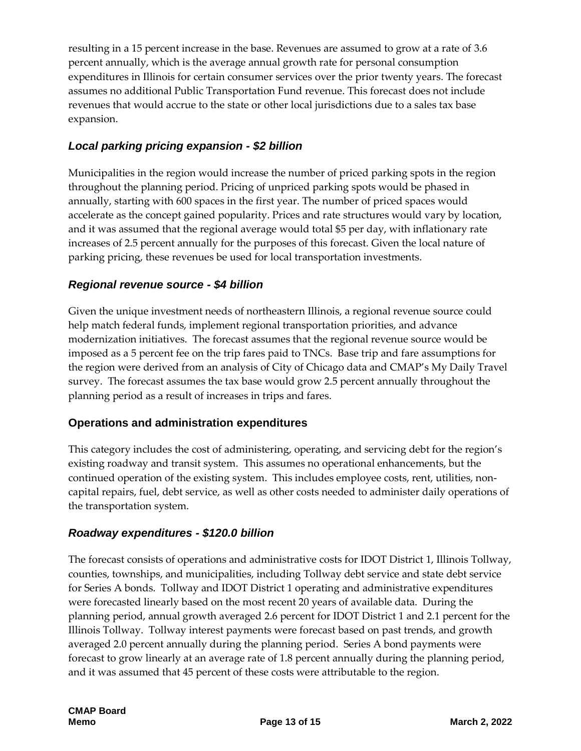resulting in a 15 percent increase in the base. Revenues are assumed to grow at a rate of 3.6 percent annually, which is the average annual growth rate for personal consumption expenditures in Illinois for certain consumer services over the prior twenty years. The forecast assumes no additional Public Transportation Fund revenue. This forecast does not include revenues that would accrue to the state or other local jurisdictions due to a sales tax base expansion.

## *Local parking pricing expansion - \$2 billion*

Municipalities in the region would increase the number of priced parking spots in the region throughout the planning period. Pricing of unpriced parking spots would be phased in annually, starting with 600 spaces in the first year. The number of priced spaces would accelerate as the concept gained popularity. Prices and rate structures would vary by location, and it was assumed that the regional average would total \$5 per day, with inflationary rate increases of 2.5 percent annually for the purposes of this forecast. Given the local nature of parking pricing, these revenues be used for local transportation investments.

#### *Regional revenue source - \$4 billion*

Given the unique investment needs of northeastern Illinois, a regional revenue source could help match federal funds, implement regional transportation priorities, and advance modernization initiatives. The forecast assumes that the regional revenue source would be imposed as a 5 percent fee on the trip fares paid to TNCs. Base trip and fare assumptions for the region were derived from an analysis of City of Chicago data and CMAP's My Daily Travel survey. The forecast assumes the tax base would grow 2.5 percent annually throughout the planning period as a result of increases in trips and fares.

#### **Operations and administration expenditures**

This category includes the cost of administering, operating, and servicing debt for the region's existing roadway and transit system. This assumes no operational enhancements, but the continued operation of the existing system. This includes employee costs, rent, utilities, noncapital repairs, fuel, debt service, as well as other costs needed to administer daily operations of the transportation system.

#### *Roadway expenditures - \$120.0 billion*

The forecast consists of operations and administrative costs for IDOT District 1, Illinois Tollway, counties, townships, and municipalities, including Tollway debt service and state debt service for Series A bonds. Tollway and IDOT District 1 operating and administrative expenditures were forecasted linearly based on the most recent 20 years of available data. During the planning period, annual growth averaged 2.6 percent for IDOT District 1 and 2.1 percent for the Illinois Tollway. Tollway interest payments were forecast based on past trends, and growth averaged 2.0 percent annually during the planning period. Series A bond payments were forecast to grow linearly at an average rate of 1.8 percent annually during the planning period, and it was assumed that 45 percent of these costs were attributable to the region.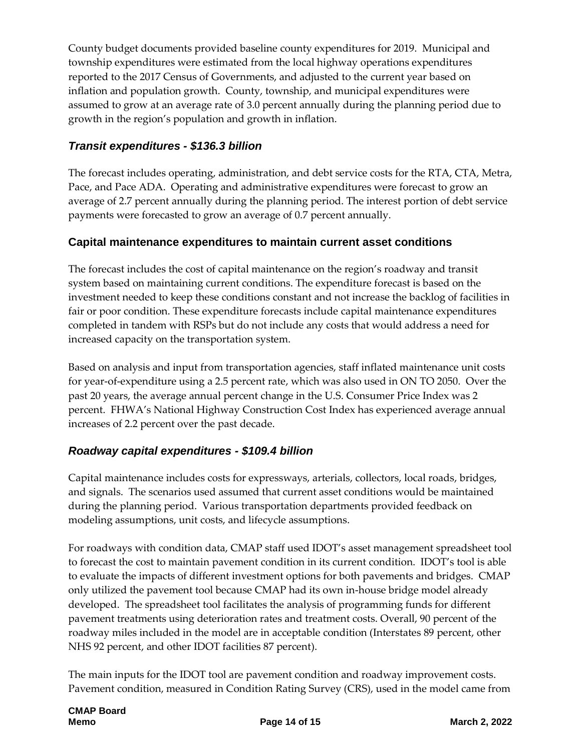County budget documents provided baseline county expenditures for 2019. Municipal and township expenditures were estimated from the local highway operations expenditures reported to the 2017 Census of Governments, and adjusted to the current year based on inflation and population growth. County, township, and municipal expenditures were assumed to grow at an average rate of 3.0 percent annually during the planning period due to growth in the region's population and growth in inflation.

## *Transit expenditures - \$136.3 billion*

The forecast includes operating, administration, and debt service costs for the RTA, CTA, Metra, Pace, and Pace ADA. Operating and administrative expenditures were forecast to grow an average of 2.7 percent annually during the planning period. The interest portion of debt service payments were forecasted to grow an average of 0.7 percent annually.

## **Capital maintenance expenditures to maintain current asset conditions**

The forecast includes the cost of capital maintenance on the region's roadway and transit system based on maintaining current conditions. The expenditure forecast is based on the investment needed to keep these conditions constant and not increase the backlog of facilities in fair or poor condition. These expenditure forecasts include capital maintenance expenditures completed in tandem with RSPs but do not include any costs that would address a need for increased capacity on the transportation system.

Based on analysis and input from transportation agencies, staff inflated maintenance unit costs for year-of-expenditure using a 2.5 percent rate, which was also used in ON TO 2050. Over the past 20 years, the average annual percent change in the U.S. Consumer Price Index was 2 percent. FHWA's National Highway Construction Cost Index has experienced average annual increases of 2.2 percent over the past decade.

## *Roadway capital expenditures - \$109.4 billion*

Capital maintenance includes costs for expressways, arterials, collectors, local roads, bridges, and signals. The scenarios used assumed that current asset conditions would be maintained during the planning period. Various transportation departments provided feedback on modeling assumptions, unit costs, and lifecycle assumptions.

For roadways with condition data, CMAP staff used IDOT's asset management spreadsheet tool to forecast the cost to maintain pavement condition in its current condition. IDOT's tool is able to evaluate the impacts of different investment options for both pavements and bridges. CMAP only utilized the pavement tool because CMAP had its own in-house bridge model already developed. The spreadsheet tool facilitates the analysis of programming funds for different pavement treatments using deterioration rates and treatment costs. Overall, 90 percent of the roadway miles included in the model are in acceptable condition (Interstates 89 percent, other NHS 92 percent, and other IDOT facilities 87 percent).

The main inputs for the IDOT tool are pavement condition and roadway improvement costs. Pavement condition, measured in Condition Rating Survey (CRS), used in the model came from